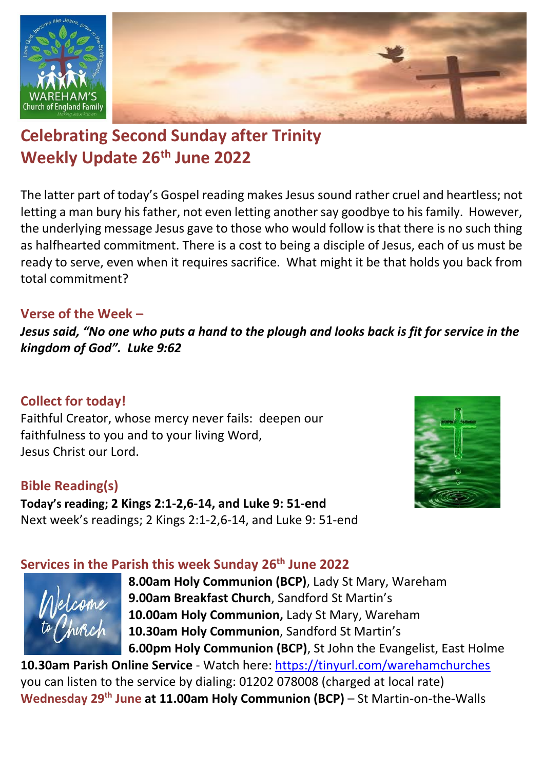

# **Celebrating Second Sunday after Trinity Weekly Update 26th June 2022**

The latter part of today's Gospel reading makes Jesus sound rather cruel and heartless; not letting a man bury his father, not even letting another say goodbye to his family. However, the underlying message Jesus gave to those who would follow is that there is no such thing as halfhearted commitment. There is a cost to being a disciple of Jesus, each of us must be ready to serve, even when it requires sacrifice. What might it be that holds you back from total commitment?

### **Verse of the Week –**

*Jesus said, "No one who puts a hand to the plough and looks back is fit for service in the kingdom of God". Luke 9:62*

### **Collect for today!**

Faithful Creator, whose mercy never fails: deepen our faithfulness to you and to your living Word, Jesus Christ our Lord.

### **Bible Reading(s)**

**Today's reading; 2 Kings 2:1-2,6-14, and Luke 9: 51-end** Next week's readings; 2 Kings 2:1-2,6-14, and Luke 9: 51-end



#### **Services in the Parish this week Sunday 26th June 2022**



**8.00am Holy Communion (BCP)**, Lady St Mary, Wareham **9.00am Breakfast Church**, Sandford St Martin's **10.00am Holy Communion,** Lady St Mary, Wareham **10.30am Holy Communion**, Sandford St Martin's **6.00pm Holy Communion (BCP)**, St John the Evangelist, East Holme

**10.30am Parish Online Service** - Watch here:<https://tinyurl.com/warehamchurches> you can listen to the service by dialing: 01202 078008 (charged at local rate) Wednesday 29<sup>th</sup> June at 11.00am Holy Communion (BCP) – St Martin-on-the-Walls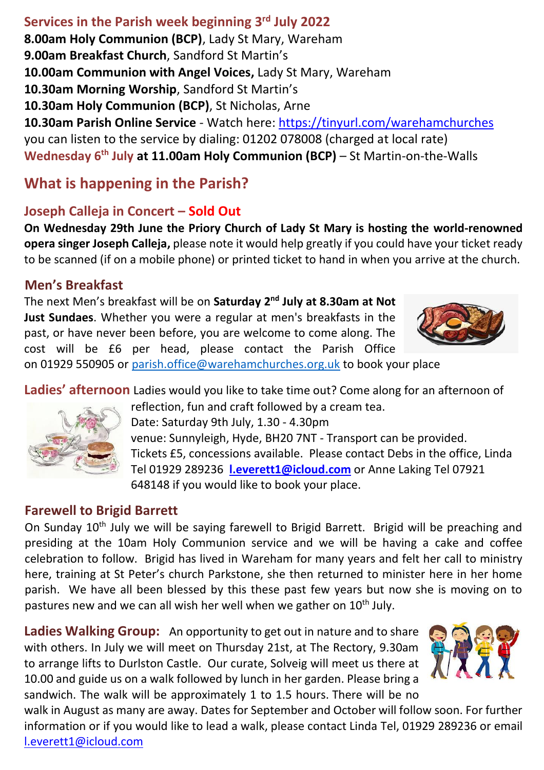## **Services in the Parish week beginning 3 rd July 2022**

**8.00am Holy Communion (BCP)**, Lady St Mary, Wareham **9.00am Breakfast Church**, Sandford St Martin's **10.00am Communion with Angel Voices,** Lady St Mary, Wareham **10.30am Morning Worship**, Sandford St Martin's **10.30am Holy Communion (BCP)**, St Nicholas, Arne **10.30am Parish Online Service** - Watch here:<https://tinyurl.com/warehamchurches> you can listen to the service by dialing: 01202 078008 (charged at local rate) **Wednesday 6 th July at 11.00am Holy Communion (BCP)** – St Martin-on-the-Walls

### **What is happening in the Parish?**

### **Joseph Calleja in Concert – Sold Out**

**On Wednesday 29th June the Priory Church of Lady St Mary is hosting the world-renowned opera singer Joseph Calleja,** please note it would help greatly if you could have your ticket ready to be scanned (if on a mobile phone) or printed ticket to hand in when you arrive at the church.

### **Men's Breakfast**

The next Men's breakfast will be on **Saturday 2 nd July at 8.30am at Not Just Sundaes**. Whether you were a regular at men's breakfasts in the past, or have never been before, you are welcome to come along. The cost will be £6 per head, please contact the Parish Office



on 01929 550905 or [parish.office@warehamchurches.org.uk](mailto:parish.office@warehamchurches.org.uk) to book your place

**Ladies' afternoon** Ladies would you like to take time out? Come along for an afternoon of



reflection, fun and craft followed by a cream tea.

Date: Saturday 9th July, 1.30 - 4.30pm venue: Sunnyleigh, Hyde, BH20 7NT - Transport can be provided. Tickets £5, concessions available. Please contact Debs in the office, Linda Tel 01929 289236 **[l.everett1@icloud.com](mailto:l.everett1@icloud.com)** or Anne Laking Tel 07921 648148 if you would like to book your place.

### **Farewell to Brigid Barrett**

On Sunday 10<sup>th</sup> July we will be saying farewell to Brigid Barrett. Brigid will be preaching and presiding at the 10am Holy Communion service and we will be having a cake and coffee celebration to follow. Brigid has lived in Wareham for many years and felt her call to ministry here, training at St Peter's church Parkstone, she then returned to minister here in her home parish. We have all been blessed by this these past few years but now she is moving on to pastures new and we can all wish her well when we gather on 10<sup>th</sup> July.

**Ladies Walking Group:** An opportunity to get out in nature and to share with others. In July we will meet on Thursday 21st, at The Rectory, 9.30am to arrange lifts to Durlston Castle. Our curate, Solveig will meet us there at 10.00 and guide us on a walk followed by lunch in her garden. Please bring a sandwich. The walk will be approximately 1 to 1.5 hours. There will be no



walk in August as many are away. Dates for September and October will follow soon. For further information or if you would like to lead a walk, please contact Linda Tel, 01929 289236 or email [l.everett1@icloud.com](mailto:l.everett1@icloud.com)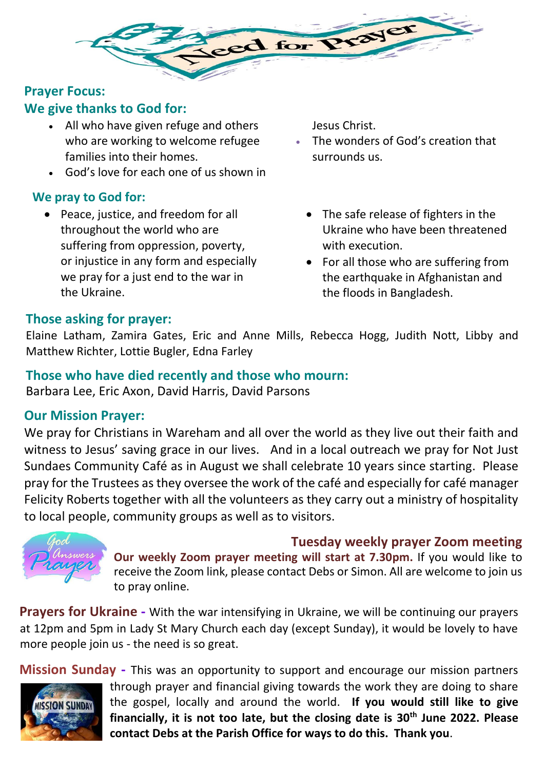

### **Prayer Focus:**

### **We give thanks to God for:**

- All who have given refuge and others who are working to welcome refugee families into their homes.
- God's love for each one of us shown in

### **We pray to God for:**

• Peace, justice, and freedom for all throughout the world who are suffering from oppression, poverty, or injustice in any form and especially we pray for a just end to the war in the Ukraine.

Jesus Christ.

- The wonders of God's creation that surrounds us.
	- The safe release of fighters in the Ukraine who have been threatened with execution.
	- For all those who are suffering from the earthquake in Afghanistan and the floods in Bangladesh.

### **Those asking for prayer:**

Elaine Latham, Zamira Gates, Eric and Anne Mills, Rebecca Hogg, Judith Nott, Libby and Matthew Richter, Lottie Bugler, Edna Farley

#### **Those who have died recently and those who mourn:**

Barbara Lee, Eric Axon, David Harris, David Parsons

#### **Our Mission Prayer:**

We pray for Christians in Wareham and all over the world as they live out their faith and witness to Jesus' saving grace in our lives. And in a local outreach we pray for Not Just Sundaes Community Café as in August we shall celebrate 10 years since starting. Please pray for the Trustees as they oversee the work of the café and especially for café manager Felicity Roberts together with all the volunteers as they carry out a ministry of hospitality to local people, community groups as well as to visitors.



**Tuesday weekly prayer Zoom meeting Our weekly Zoom prayer meeting will start at 7.30pm.** If you would like to receive the Zoom link, please contact Debs or Simon. All are welcome to join us to pray online.

**Prayers for Ukraine -** With the war intensifying in Ukraine, we will be continuing our prayers at 12pm and 5pm in Lady St Mary Church each day (except Sunday), it would be lovely to have more people join us - the need is so great.

**Mission Sunday -** This was an opportunity to support and encourage our mission partners through prayer and financial giving towards the work they are doing to share the gospel, locally and around the world. **If you would still like to give ISSION SUNDAY financially, it is not too late, but the closing date is 30th June 2022. Please contact Debs at the Parish Office for ways to do this. Thank you**.